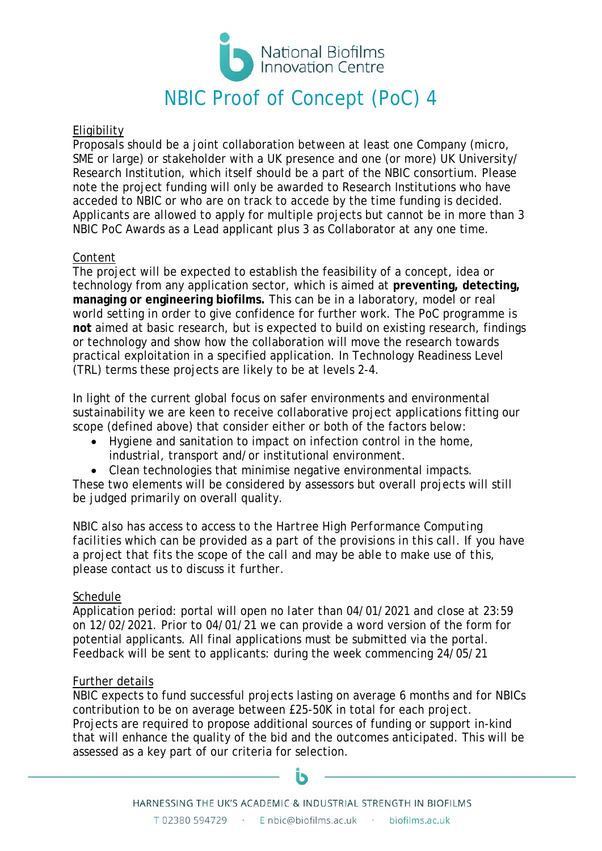

# **Eligibility**

Proposals should be a joint collaboration between at least one Company (micro, SME or large) or stakeholder with a UK presence and one (or more) UK University/ Research Institution, which itself should be a part of the NBIC consortium. Please note the project funding will only be awarded to Research Institutions who have acceded to NBIC or who are on track to accede by the time funding is decided. Applicants are allowed to apply for multiple projects but cannot be in more than 3 NBIC PoC Awards as a Lead applicant plus 3 as Collaborator at any one time.

# Content

The project will be expected to establish the feasibility of a concept, idea or technology from any application sector, which is aimed at **preventing, detecting, managing or engineering biofilms.** This can be in a laboratory, model or real world setting in order to give confidence for further work. The PoC programme is **not** aimed at basic research, but is expected to build on existing research, findings or technology and show how the collaboration will move the research towards practical exploitation in a specified application. In Technology Readiness Level (TRL) terms these projects are likely to be at levels 2-4.

In light of the current global focus on safer environments and environmental sustainability we are keen to receive collaborative project applications fitting our scope (defined above) that consider either or both of the factors below:

- Hygiene and sanitation to impact on infection control in the home, industrial, transport and/or institutional environment.
- Clean technologies that minimise negative environmental impacts.

These two elements will be considered by assessors but overall projects will still be judged primarily on overall quality.

*NBIC also has access to access to the Hartree High Performance Computing facilities which can be provided as a part of the provisions in this call. If you have a project that fits the scope of the call and may be able to make use of this, please contact us to discuss it further.* 

## Schedule

Application period: portal will open *no later than* 04/01/2021 and *close at 23:59 on* 12/02/2021. Prior to 04/01/21 we can provide a word version of the form for potential applicants. All final applications must be submitted via the portal. Feedback will be sent to applicants: during the week commencing 24/05/21

## Further details

NBIC expects to fund successful projects lasting on average 6 months and for NBICs contribution to be on average between £25-50K in total for each project. Projects are required to propose additional sources of funding or support in-kind that will enhance the quality of the bid and the outcomes anticipated. This will be assessed as a key part of our criteria for selection.